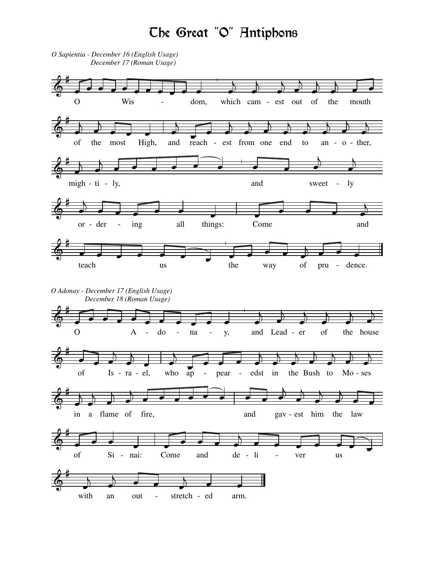## Che Great "O" Antiphons

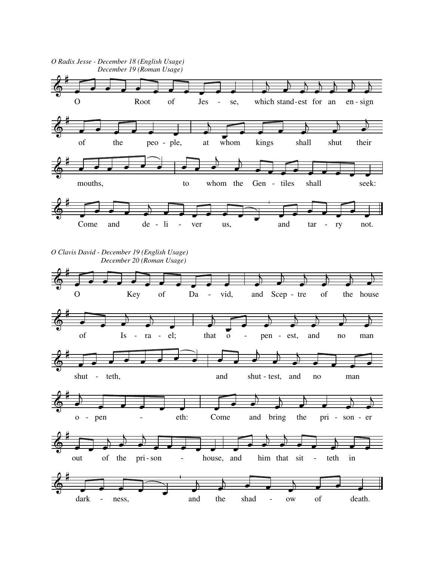





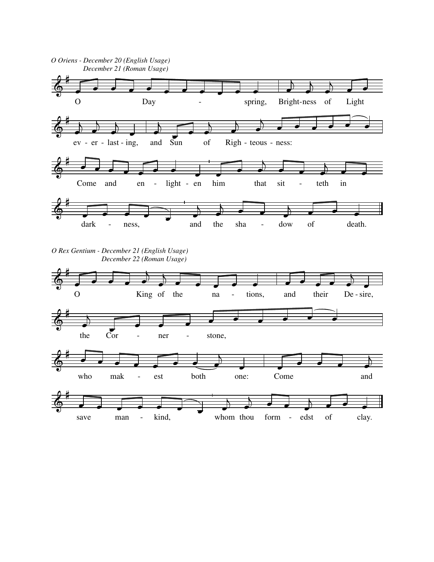

*O Rex Gentium - December 21 (English Usage) December 22 (Roman Usage)*